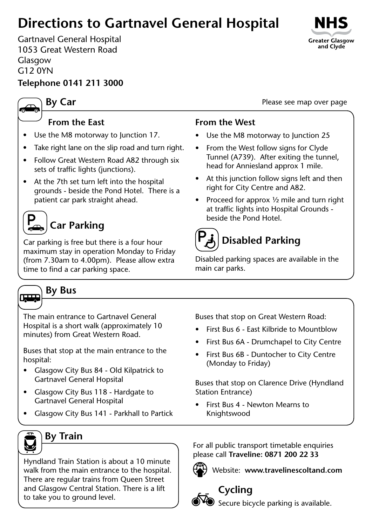## **Directions to Gartnavel General Hospital**

Gartnavel General Hospital 1053 Great Western Road Glasgow G12 0YN

### **Telephone 0141 211 3000**

### **By Car**

### **From the East**

- Use the M8 motorway to Junction 17.
- Take right lane on the slip road and turn right.
- Follow Great Western Road A82 through six sets of traffic lights (junctions).
- At the 7th set turn left into the hospital grounds - beside the Pond Hotel. There is a patient car park straight ahead.

# **Car Parking**

Car parking is free but there is a four hour maximum stay in operation Monday to Friday (from 7.30am to 4.00pm). Please allow extra time to find a car parking space.

### **From the West**

- Use the M8 motorway to Junction 25
- From the West follow signs for Clyde Tunnel (A739). After exiting the tunnel, head for Anniesland approx 1 mile.
- At this junction follow signs left and then right for City Centre and A82.
- Proceed for approx  $\frac{1}{2}$  mile and turn right at traffic lights into Hospital Grounds beside the Pond Hotel.

# **Disabled Parking**

Disabled parking spaces are available in the main car parks.

### **By Bus**

The main entrance to Gartnavel General Hospital is a short walk (approximately 10 minutes) from Great Western Road.

Buses that stop at the main entrance to the hospital:

- Glasgow City Bus 84 Old Kilpatrick to Gartnavel General Hopsital
- Glasgow City Bus 118 Hardgate to Gartnavel General Hospital
- • Glasgow City Bus 141 Parkhall to Partick

Buses that stop on Great Western Road:

- First Bus 6 East Kilbride to Mountblow
- First Bus 6A Drumchapel to City Centre
- • First Bus 6B Duntocher to City Centre (Monday to Friday)

Buses that stop on Clarence Drive (Hyndland Station Entrance)

First Bus 4 - Newton Mearns to Knightswood



Hyndland Train Station is about a 10 minute walk from the main entrance to the hospital. There are regular trains from Queen Street and Glasgow Central Station. There is a lift to take you to ground level.

For all public transport timetable enquiries please call **Traveline: 0871 200 22 33**

#### Website: **www.travelinescoltand.com**



### **Cycling**

**Secure bicycle parking is available.** 



Please see map over page